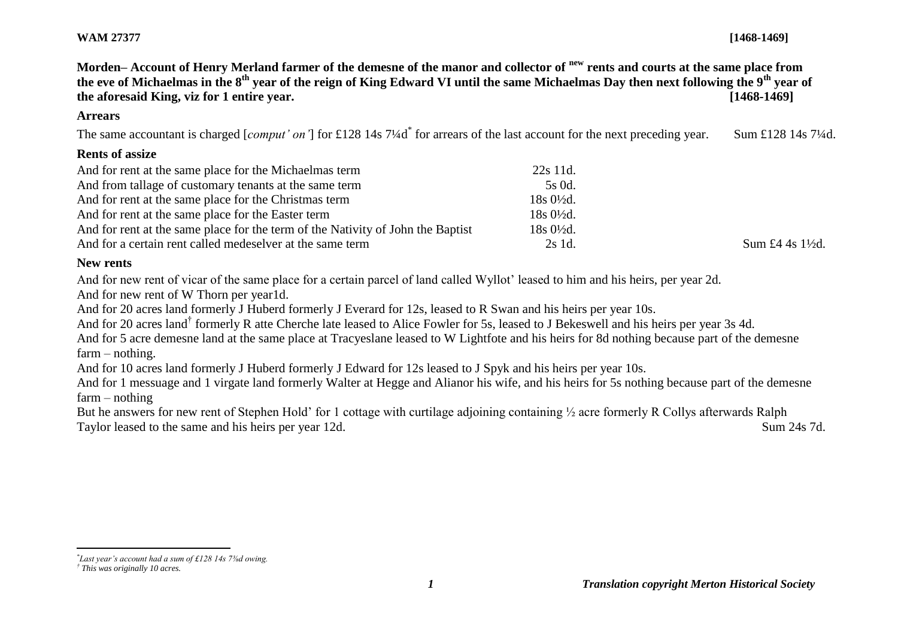**Morden– Account of Henry Merland farmer of the demesne of the manor and collector of new rents and courts at the same place from the eve of Michaelmas in the 8th year of the reign of King Edward VI until the same Michaelmas Day then next following the 9th year of the aforesaid King, viz for 1 entire year. [1468-1469]**

#### **Arrears**

The same accountant is charged [*comput' on'*] for £128 14s 7¼d<sup>\*</sup> for arrears of the last account for the next preceding year. Sum £128 14s 7¼d.

#### **Rents of assize**

| And for rent at the same place for the Michaelmas term                          | 22s 11d.             |                             |
|---------------------------------------------------------------------------------|----------------------|-----------------------------|
| And from tallage of customary tenants at the same term                          | 5s 0d.               |                             |
| And for rent at the same place for the Christmas term                           | $18s0\frac{1}{2}d$ . |                             |
| And for rent at the same place for the Easter term                              | $18s0\frac{1}{2}d$ . |                             |
| And for rent at the same place for the term of the Nativity of John the Baptist | $18s0\frac{1}{2}d$ . |                             |
| And for a certain rent called medeselver at the same term                       | 2s 1d.               | Sum £4 4s $1\frac{1}{2}$ d. |

#### **New rents**

And for new rent of vicar of the same place for a certain parcel of land called Wyllot' leased to him and his heirs, per year 2d.

And for new rent of W Thorn per year1d.

And for 20 acres land formerly J Huberd formerly J Everard for 12s, leased to R Swan and his heirs per year 10s.

And for 20 acres land<sup>†</sup> formerly R atte Cherche late leased to Alice Fowler for 5s, leased to J Bekeswell and his heirs per year 3s 4d.

And for 5 acre demesne land at the same place at Tracyeslane leased to W Lightfote and his heirs for 8d nothing because part of the demesne farm – nothing.

And for 10 acres land formerly J Huberd formerly J Edward for 12s leased to J Spyk and his heirs per year 10s.

And for 1 messuage and 1 virgate land formerly Walter at Hegge and Alianor his wife, and his heirs for 5s nothing because part of the demesne farm – nothing

But he answers for new rent of Stephen Hold' for 1 cottage with curtilage adjoining containing ½ acre formerly R Collys afterwards Ralph Taylor leased to the same and his heirs per year 12d. Sum 24s 7d.

 $\overline{a}$ *\* Last year's account had a sum of £128 14s 7⅜d owing.*

*<sup>†</sup> This was originally 10 acres.*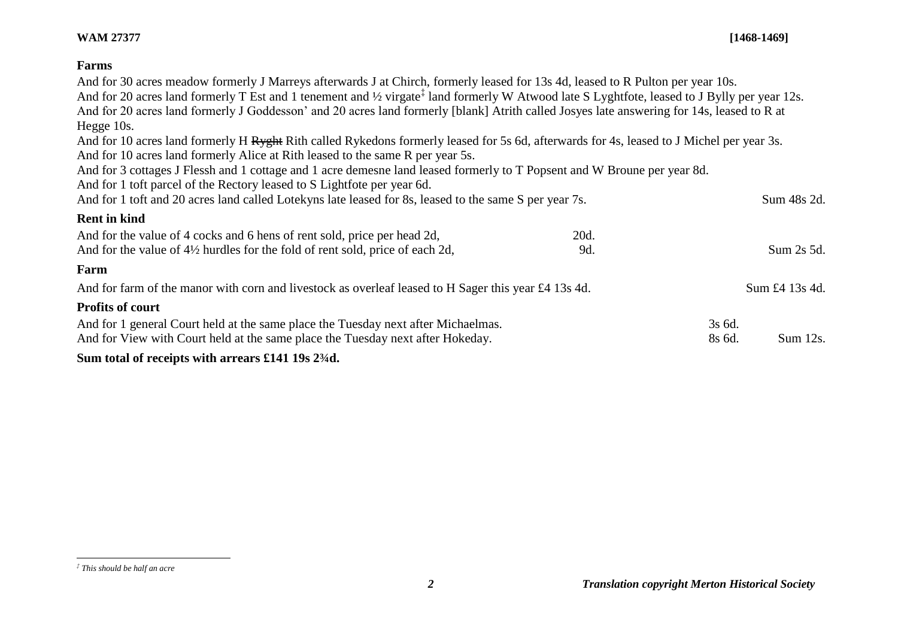# **Farms**

| Sum total of receipts with arrears £141 19s 23/4d.                                                                                                                                                                                                                                                            |      |                  |                |
|---------------------------------------------------------------------------------------------------------------------------------------------------------------------------------------------------------------------------------------------------------------------------------------------------------------|------|------------------|----------------|
| And for 1 general Court held at the same place the Tuesday next after Michaelmas.<br>And for View with Court held at the same place the Tuesday next after Hokeday.                                                                                                                                           |      | 3s 6d.<br>8s 6d. | Sum 12s.       |
| <b>Profits of court</b>                                                                                                                                                                                                                                                                                       |      |                  |                |
| And for farm of the manor with corn and livestock as overleaf leased to H Sager this year £4 13s 4d.                                                                                                                                                                                                          |      |                  | Sum £4 13s 4d. |
| Farm                                                                                                                                                                                                                                                                                                          |      |                  |                |
| And for the value of 4½ hurdles for the fold of rent sold, price of each 2d,                                                                                                                                                                                                                                  | 9d.  |                  | Sum 2s 5d.     |
| And for the value of 4 cocks and 6 hens of rent sold, price per head 2d,                                                                                                                                                                                                                                      | 20d. |                  |                |
| <b>Rent in kind</b>                                                                                                                                                                                                                                                                                           |      |                  |                |
| And for 3 cottages J Flessh and 1 cottage and 1 acre demesne land leased formerly to T Popsent and W Broune per year 8d.<br>And for 1 toft parcel of the Rectory leased to S Lightfote per year 6d.<br>And for 1 toft and 20 acres land called Lotekyns late leased for 8s, leased to the same S per year 7s. |      |                  | Sum 48s 2d.    |
| And for 10 acres land formerly Alice at Rith leased to the same R per year 5s.                                                                                                                                                                                                                                |      |                  |                |
| And for 10 acres land formerly H Ryght Rith called Rykedons formerly leased for 5s 6d, afterwards for 4s, leased to J Michel per year 3s.                                                                                                                                                                     |      |                  |                |
| Hegge 10s.                                                                                                                                                                                                                                                                                                    |      |                  |                |
| And for 20 acres land formerly J Goddesson' and 20 acres land formerly [blank] Atrith called Josyes late answering for 14s, leased to R at                                                                                                                                                                    |      |                  |                |
| And for 20 acres land formerly T Est and 1 tenement and 1/2 virgate <sup>‡</sup> land formerly W Atwood late S Lyghtfote, leased to J Bylly per year 12s.                                                                                                                                                     |      |                  |                |
| And for 30 acres meadow formerly J Marreys afterwards J at Chirch, formerly leased for 13s 4d, leased to R Pulton per year 10s.                                                                                                                                                                               |      |                  |                |

l

*<sup>‡</sup> This should be half an acre*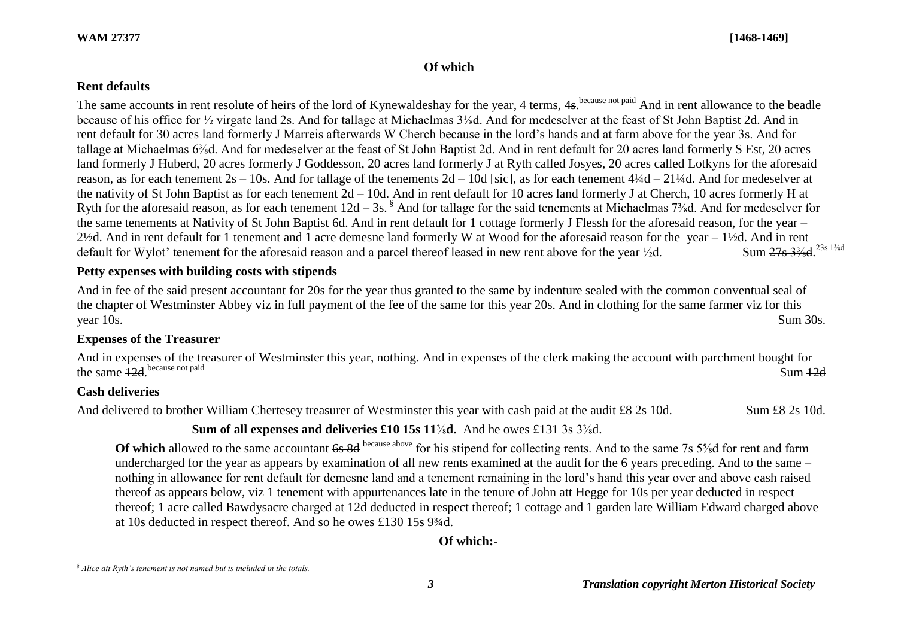### **Of which**

### **Rent defaults**

The same accounts in rent resolute of heirs of the lord of Kynewaldeshay for the year, 4 terms, 4s. because not paid And in rent allowance to the beadle because of his office for ½ virgate land 2s. And for tallage at Michaelmas 3⅛d. And for medeselver at the feast of St John Baptist 2d. And in rent default for 30 acres land formerly J Marreis afterwards W Cherch because in the lord's hands and at farm above for the year 3s. And for tallage at Michaelmas 6⅜d. And for medeselver at the feast of St John Baptist 2d. And in rent default for 20 acres land formerly S Est, 20 acres land formerly J Huberd, 20 acres formerly J Goddesson, 20 acres land formerly J at Ryth called Josyes, 20 acres called Lotkyns for the aforesaid reason, as for each tenement  $2s - 10s$ . And for tallage of the tenements  $2d - 10d$  [sic], as for each tenement  $4\frac{1}{4}d - 21\frac{1}{4}d$ . And for medeselver at the nativity of St John Baptist as for each tenement 2d – 10d. And in rent default for 10 acres land formerly J at Cherch, 10 acres formerly H at Ryth for the aforesaid reason, as for each tenement  $12d - 3s$ . And for tallage for the said tenements at Michaelmas 7<sup>3</sup>/<sub>8</sub>d. And for medeselver for the same tenements at Nativity of St John Baptist 6d. And in rent default for 1 cottage formerly J Flessh for the aforesaid reason, for the year – 2½d. And in rent default for 1 tenement and 1 acre demesne land formerly W at Wood for the aforesaid reason for the year – 1½d. And in rent default for Wylot' tenement for the aforesaid reason and a parcel thereof leased in new rent above for the year  $\frac{1}{2}d$ . Sum 27s 3<sup>3</sup>/<sub>8</sub>d.<sup>23s 13/8</sup>d

## **Petty expenses with building costs with stipends**

And in fee of the said present accountant for 20s for the year thus granted to the same by indenture sealed with the common conventual seal of the chapter of Westminster Abbey viz in full payment of the fee of the same for this year 20s. And in clothing for the same farmer viz for this year 10s. Sum 30s.

## **Expenses of the Treasurer**

And in expenses of the treasurer of Westminster this year, nothing. And in expenses of the clerk making the account with parchment bought for the same 12d because not paid because not paid Sum 12d

## **Cash deliveries**

l

And delivered to brother William Chertesey treasurer of Westminster this year with cash paid at the audit £8 2s 10d. Sum £8 2s 10d.

## **Sum of all expenses and deliveries £10 15s 11**⅜**d.** And he owes £131 3s 3⅜d.

**Of which** allowed to the same accountant 6s 8d because above for his stipend for collecting rents. And to the same 7s 5<sup>5</sup>/sd for rent and farm undercharged for the year as appears by examination of all new rents examined at the audit for the 6 years preceding. And to the same – nothing in allowance for rent default for demesne land and a tenement remaining in the lord's hand this year over and above cash raised thereof as appears below, viz 1 tenement with appurtenances late in the tenure of John att Hegge for 10s per year deducted in respect thereof; 1 acre called Bawdysacre charged at 12d deducted in respect thereof; 1 cottage and 1 garden late William Edward charged above at 10s deducted in respect thereof. And so he owes £130 15s 9¾d.

**Of which:-**

*<sup>§</sup> Alice att Ryth's tenement is not named but is included in the totals.*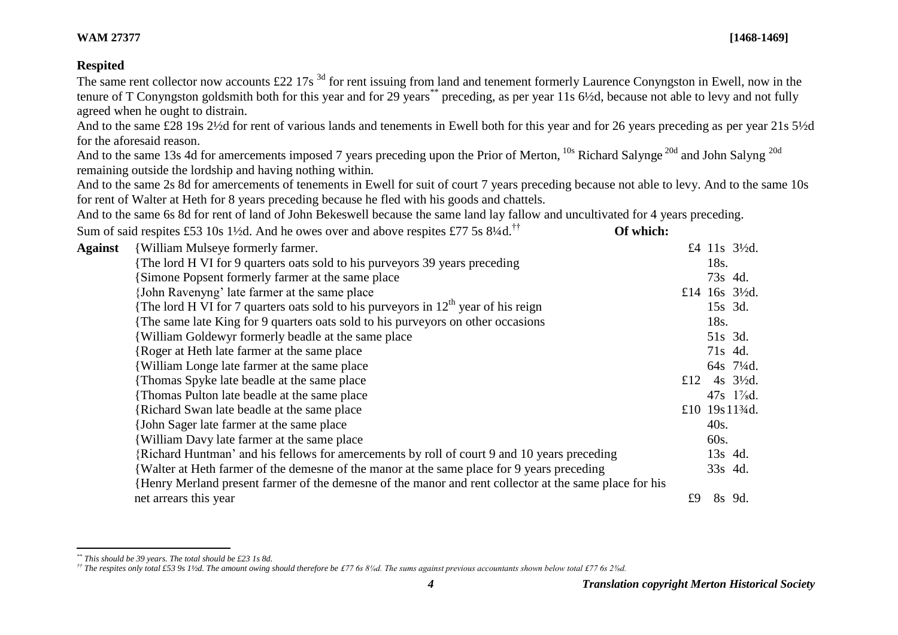## **Respited**

The same rent collector now accounts £22 17s<sup>3d</sup> for rent issuing from land and tenement formerly Laurence Conyngston in Ewell, now in the tenure of T Conyngston goldsmith both for this year and for 29 years\*\* preceding, as per year 11s  $6\frac{1}{2}$ d, because not able to levy and not fully agreed when he ought to distrain.

And to the same £28 19s 2½d for rent of various lands and tenements in Ewell both for this year and for 26 years preceding as per year 21s 5½d for the aforesaid reason.

And to the same 13s 4d for amercements imposed 7 years preceding upon the Prior of Merton, <sup>10s</sup> Richard Salynge<sup>20d</sup> and John Salyng<sup>20d</sup> remaining outside the lordship and having nothing within*.*

And to the same 2s 8d for amercements of tenements in Ewell for suit of court 7 years preceding because not able to levy. And to the same 10s for rent of Walter at Heth for 8 years preceding because he fled with his goods and chattels.

And to the same 6s 8d for rent of land of John Bekeswell because the same land lay fallow and uncultivated for 4 years preceding.

| Sum of said respites £53 10s 1½d. And he owes over and above respites £77 5s $8\frac{1}{4}$ d. <sup>††</sup> | Of which: |
|--------------------------------------------------------------------------------------------------------------|-----------|
|--------------------------------------------------------------------------------------------------------------|-----------|

| <b>Against</b> | <b>William Mulseye formerly farmer.</b>                                                               |     |         | £4 11s 3½d.                               |
|----------------|-------------------------------------------------------------------------------------------------------|-----|---------|-------------------------------------------|
|                | The lord H VI for 9 quarters oats sold to his purveyors 39 years preceding                            |     | 18s.    |                                           |
|                | Simone Popsent formerly farmer at the same place                                                      |     | 73s 4d. |                                           |
|                | John Ravenyng' late farmer at the same place                                                          |     |         | £14 16s $3\frac{1}{2}d$ .                 |
|                | The lord H VI for 7 quarters oats sold to his purveyors in $12th$ year of his reign                   |     | 15s 3d. |                                           |
|                | The same late King for 9 quarters oats sold to his purveyors on other occasions                       |     | 18s.    |                                           |
|                | William Goldewyr formerly beadle at the same place                                                    |     |         | 51s 3d.                                   |
|                | {Roger at Heth late farmer at the same place}                                                         |     |         | 71s 4d.                                   |
|                | William Longe late farmer at the same place                                                           |     |         | 64s 71/4d.                                |
|                | Thomas Spyke late beadle at the same place                                                            | £12 |         | 4s $3\frac{1}{2}d$ .                      |
|                | Thomas Pulton late beadle at the same place                                                           |     |         | 47s 1 <sup>7</sup> / <sub>s</sub> d.      |
|                | Richard Swan late beadle at the same place                                                            |     |         | £10 19s 11 <sup>3</sup> / <sub>4</sub> d. |
|                | {John Sager late farmer at the same place                                                             |     | 40s.    |                                           |
|                | William Davy late farmer at the same place                                                            |     | 60s.    |                                           |
|                | Richard Huntman' and his fellows for amercements by roll of court 9 and 10 years preceding            |     | 13s 4d. |                                           |
|                | Walter at Heth farmer of the demesne of the manor at the same place for 9 years preceding             |     | 33s 4d. |                                           |
|                | Henry Merland present farmer of the demesne of the manor and rent collector at the same place for his |     |         |                                           |
|                | net arrears this year                                                                                 | £9  |         | 8s 9d.                                    |

 $\overline{a}$ *\*\* This should be 39 years. The total should be £23 1s 8d.*

*<sup>††</sup> The respites only total £53 9s 1½d. The amount owing should therefore be £77 6s 8¼d. The sums against previous accountants shown below total £77 6s 2⅜d.*